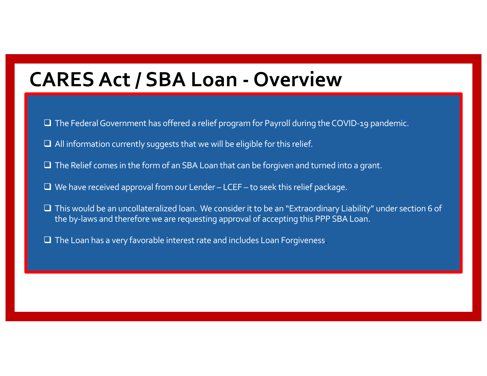## **CARES Act / SBA Loan - Overview**

- $\Box$  The Federal Government has offered a relief program for Payroll during the COVID-19 pandemic.
- $\Box$  All information currently suggests that we will be eligible for this relief.
- $\Box$  The Relief comes in the form of an SBA Loan that can be forgiven and turned into a grant.
- $\Box$  We have received approval from our Lender LCEF to seek this relief package.
- $\Box$  This would be an uncollateralized loan. We consider it to be an "Extraordinary Liability" under section 6 of the by-laws and therefore we are requesting approval of accepting this PPP SBA Loan.
- $\Box$  The Loan has a very favorable interest rate and includes Loan Forgiveness.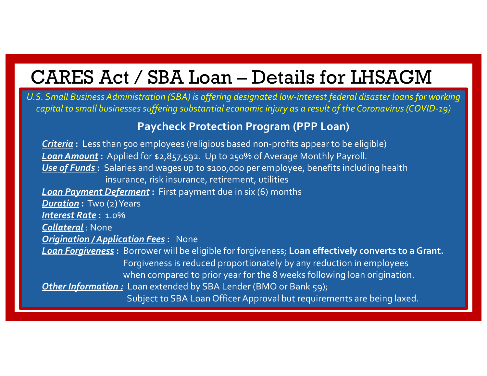## CARES Act / SBA Loan – Details for LHSAGM

*U.S. Small Business Administration (SBA) is offering designated low-interest federal disaster loans for working capital to small businesses suffering substantial economic injury as a result of the Coronavirus (COVID-19)*

## **Paycheck Protection Program (PPP Loan)**

*Criteria* **:** Less than 500 employees (religious based non-profits appear to be eligible) *Loan Amount* **:** Applied for \$2,857,592. Up to 250% of Average Monthly Payroll. *Use of Funds* **:** Salaries and wages up to \$100,000 per employee, benefits including health insurance, risk insurance, retirement, utilities *Loan Payment Deferment* **:** First payment due in six (6) months *Duration* **:** Two (2) Years *Interest Rate* **:** 1.0% *Collateral* : None *Origination / Application Fees* **:** None *Loan Forgiveness* **:** Borrower will be eligible for forgiveness; **Loan effectively converts to a Grant.** Forgiveness is reduced proportionately by any reduction in employees when compared to prior year for the 8 weeks following loan origination. *Other Information :* Loan extended by SBA Lender (BMO or Bank 59); Subject to SBA Loan Officer Approval but requirements are being laxed.